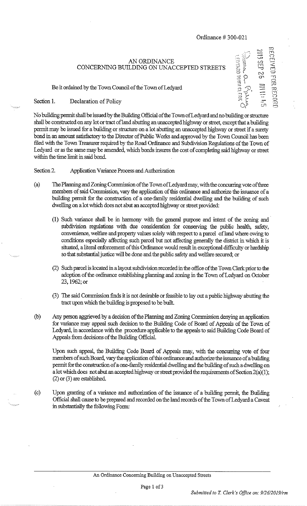## AN ORDINANCE CONCERNING BUILDING ON UNACCEPTED STREETS

Be it ordained by the Town Council of the Town of Ledyard

Section 1. Declaration of Policy

RECEIVED FOR RECORI **LEDYARD TOWN CLENK** *0 y* 

No building permit shall be issued by the Building Official of the Town of Ledyard and no building or structure shall be constructed on any lot or tract of land abutting an unaccepted highway or street, except that a building permit may be issued for a building or structure on a lot abutting an unaccepted highway or street if a surety bond in an amount satisfactory to the Director of Public Works and approved by the Town Council has been filed with the Town Treasurer required by the Road Ordinance and Subdivision Regulations of the Town of Ledyard or as the same may be amended, which bonds insures the cost of completing said highway or street within the time limit in said bond.

## Section 2. Application Variance Process and Authorization

- (a) The Planning and Zoning Commission of the Town of Ledyard may, with the concurring vote ofthree members of said Commission, vary the application of this ordinance and authorize the issuance of a building permit for the construction of a one-family residential dwelling and the building of such dwelling on a lot which does not abut an accepted highway or street provided:
	- (1) Such variance shall be in harmony with the general purpose and intent of the zoning and subdivision regulations with due consideration for conserving the public health, safety, convenience, welfare and property values solely with respect to a parcel of land where owing to conditions especially affecting such parcel but not affecting generally the district in which it is situated, a literal enforcement of this Ordinance would result in exceptional difficulty or hardship so that substantial justice will be done and the public safety and welfare secured; or
	- (2) Such parcel is located in a layout subdivision recorded in the office of the Town Clerk prior to the adoption of the ordinance establishing planning and zoning in the Town of Ledyard on October 23,1962; or
	- (3) The said Commission finds it is not desirable or feasible to lay out a public highway abutting the tract upon which the building is proposed to be built
- (b) Any person aggrieved by a decision of the Planning and Zoning Commission denying an application for variance may appeal such decision to the Building Code of Board of Appeals of the Town of Ledyard, in accordance with the procedure applicable to the appeals to said Building Code Board of Appeals from decisions of the Building Official.

Upon such appeal, the Building Code Board of Appeals may, with the concurring vote of four members of such Board, vary the application ofthis ordinance and authorize the issuance of a building permit for the construction of a one-family residential dwelling and the building of such a dwelling on a lot which does not abut an accepted highway or street provided the requirements of Section 2(a)(1); (2) or (3) are established.

(c) Upon granting of a variance and authorization of the issuance of a building permit, the Building Official shall cause to be prepared and recorded on the land records of the Town of Ledyard a Caveat in substantially the following Form: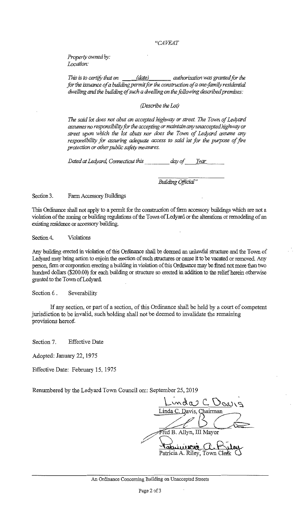## *"CAVEAT*

*Property owned by: Location:* 

*This is to certify that on (l\_a\_te) a authorization was granted for the for the issuance of a building permit for the construction of a one-family residential dwelling and the building of such a dwelling on the following described premises:* 

## *(Describe the Lot)*

*The said lot does not abut an accepted highway or street The Town of.Ledycrrd assumes no responsibility far the accepting or maintain any unaccepted highway or street upon which the lot abuts nor does the Town of Ledyard assume any responsibility for assuring adequate access to said lot for the purpose of fire protection or other public sofa)) measures.* 

*Dated at Ledyara Connecticut this day of Year* 

*Building Official"* 

Section 3. Farm Accessory Buildings

This Ordinance shall not apply to a permit for the construction of farm accessory buildings which are not a violation of the zoning or building regulations of the Town of Ledyard or the alterations or remodeling of an existing residence or accessory building.

Section 4. Violations

Any building erected in violation of this Ordinance shall be deemed an unlawful structure and the Town of Ledyard may bring action to enjoin the erection of such structures or cause it to be vacated or removed. Any person., firm or corporation erecting a building in violation of this Ordinance may be fined not more than two hundred dollars (\$200.00) for each building or structure so erected in addition to the relief herein otherwise granted to the Town of Ledyard.

Section 6. Severability

If any section, or part of a section, of this Ordinance shall be held by a court of competent jurisdiction to be invalid, such holding shall not be deemed to invalidate the remaining provisions hereof.

Section 7. Effective Date

Adopted: January 22, 1975

Effective Date: February 15, 1975

Renumbered by the Ledyard Town Council on:: September 25, 2019

nda C, Vein Davis, Chairman B. Allyn, III Mayor atwieren Patricia A. Riley, Town Cle